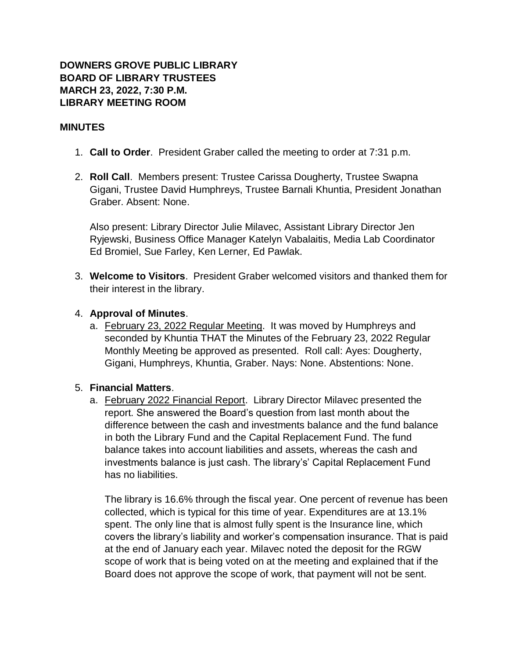# **DOWNERS GROVE PUBLIC LIBRARY BOARD OF LIBRARY TRUSTEES MARCH 23, 2022, 7:30 P.M. LIBRARY MEETING ROOM**

#### **MINUTES**

- 1. **Call to Order**. President Graber called the meeting to order at 7:31 p.m.
- 2. **Roll Call**. Members present: Trustee Carissa Dougherty, Trustee Swapna Gigani, Trustee David Humphreys, Trustee Barnali Khuntia, President Jonathan Graber. Absent: None.

Also present: Library Director Julie Milavec, Assistant Library Director Jen Ryjewski, Business Office Manager Katelyn Vabalaitis, Media Lab Coordinator Ed Bromiel, Sue Farley, Ken Lerner, Ed Pawlak.

3. **Welcome to Visitors**. President Graber welcomed visitors and thanked them for their interest in the library.

#### 4. **Approval of Minutes**.

a. February 23, 2022 Regular Meeting. It was moved by Humphreys and seconded by Khuntia THAT the Minutes of the February 23, 2022 Regular Monthly Meeting be approved as presented. Roll call: Ayes: Dougherty, Gigani, Humphreys, Khuntia, Graber. Nays: None. Abstentions: None.

### 5. **Financial Matters**.

a. February 2022 Financial Report. Library Director Milavec presented the report. She answered the Board's question from last month about the difference between the cash and investments balance and the fund balance in both the Library Fund and the Capital Replacement Fund. The fund balance takes into account liabilities and assets, whereas the cash and investments balance is just cash. The library's' Capital Replacement Fund has no liabilities.

The library is 16.6% through the fiscal year. One percent of revenue has been collected, which is typical for this time of year. Expenditures are at 13.1% spent. The only line that is almost fully spent is the Insurance line, which covers the library's liability and worker's compensation insurance. That is paid at the end of January each year. Milavec noted the deposit for the RGW scope of work that is being voted on at the meeting and explained that if the Board does not approve the scope of work, that payment will not be sent.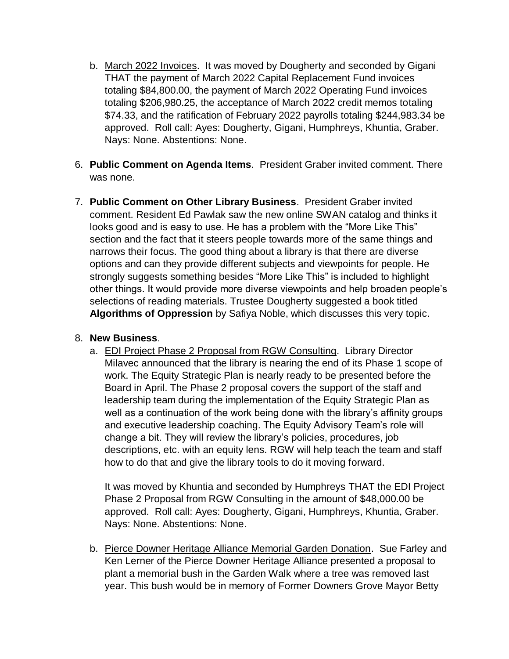- b. March 2022 Invoices. It was moved by Dougherty and seconded by Gigani THAT the payment of March 2022 Capital Replacement Fund invoices totaling \$84,800.00, the payment of March 2022 Operating Fund invoices totaling \$206,980.25, the acceptance of March 2022 credit memos totaling \$74.33, and the ratification of February 2022 payrolls totaling \$244,983.34 be approved. Roll call: Ayes: Dougherty, Gigani, Humphreys, Khuntia, Graber. Nays: None. Abstentions: None.
- 6. **Public Comment on Agenda Items**. President Graber invited comment. There was none.
- 7. **Public Comment on Other Library Business**. President Graber invited comment. Resident Ed Pawlak saw the new online SWAN catalog and thinks it looks good and is easy to use. He has a problem with the "More Like This" section and the fact that it steers people towards more of the same things and narrows their focus. The good thing about a library is that there are diverse options and can they provide different subjects and viewpoints for people. He strongly suggests something besides "More Like This" is included to highlight other things. It would provide more diverse viewpoints and help broaden people's selections of reading materials. Trustee Dougherty suggested a book titled **Algorithms of Oppression** by Safiya Noble, which discusses this very topic.

### 8. **New Business**.

a. **EDI Project Phase 2 Proposal from RGW Consulting. Library Director** Milavec announced that the library is nearing the end of its Phase 1 scope of work. The Equity Strategic Plan is nearly ready to be presented before the Board in April. The Phase 2 proposal covers the support of the staff and leadership team during the implementation of the Equity Strategic Plan as well as a continuation of the work being done with the library's affinity groups and executive leadership coaching. The Equity Advisory Team's role will change a bit. They will review the library's policies, procedures, job descriptions, etc. with an equity lens. RGW will help teach the team and staff how to do that and give the library tools to do it moving forward.

It was moved by Khuntia and seconded by Humphreys THAT the EDI Project Phase 2 Proposal from RGW Consulting in the amount of \$48,000.00 be approved. Roll call: Ayes: Dougherty, Gigani, Humphreys, Khuntia, Graber. Nays: None. Abstentions: None.

b. Pierce Downer Heritage Alliance Memorial Garden Donation. Sue Farley and Ken Lerner of the Pierce Downer Heritage Alliance presented a proposal to plant a memorial bush in the Garden Walk where a tree was removed last year. This bush would be in memory of Former Downers Grove Mayor Betty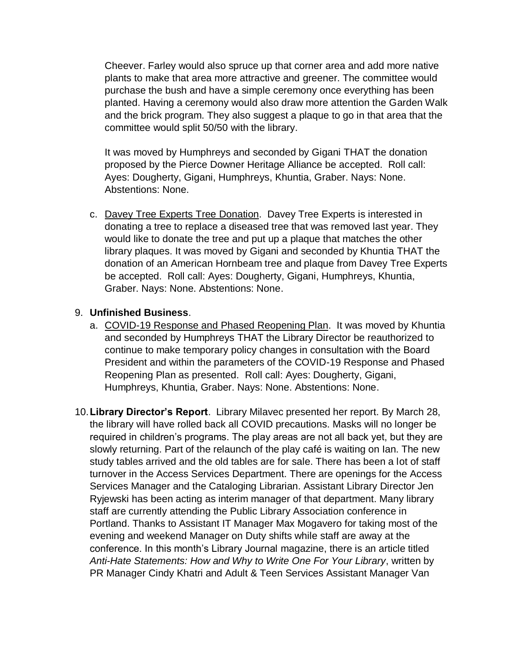Cheever. Farley would also spruce up that corner area and add more native plants to make that area more attractive and greener. The committee would purchase the bush and have a simple ceremony once everything has been planted. Having a ceremony would also draw more attention the Garden Walk and the brick program. They also suggest a plaque to go in that area that the committee would split 50/50 with the library.

It was moved by Humphreys and seconded by Gigani THAT the donation proposed by the Pierce Downer Heritage Alliance be accepted. Roll call: Ayes: Dougherty, Gigani, Humphreys, Khuntia, Graber. Nays: None. Abstentions: None.

c. Davey Tree Experts Tree Donation. Davey Tree Experts is interested in donating a tree to replace a diseased tree that was removed last year. They would like to donate the tree and put up a plaque that matches the other library plaques. It was moved by Gigani and seconded by Khuntia THAT the donation of an American Hornbeam tree and plaque from Davey Tree Experts be accepted. Roll call: Ayes: Dougherty, Gigani, Humphreys, Khuntia, Graber. Nays: None. Abstentions: None.

## 9. **Unfinished Business**.

- a. COVID-19 Response and Phased Reopening Plan. It was moved by Khuntia and seconded by Humphreys THAT the Library Director be reauthorized to continue to make temporary policy changes in consultation with the Board President and within the parameters of the COVID-19 Response and Phased Reopening Plan as presented. Roll call: Ayes: Dougherty, Gigani, Humphreys, Khuntia, Graber. Nays: None. Abstentions: None.
- 10.**Library Director's Report**. Library Milavec presented her report. By March 28, the library will have rolled back all COVID precautions. Masks will no longer be required in children's programs. The play areas are not all back yet, but they are slowly returning. Part of the relaunch of the play café is waiting on Ian. The new study tables arrived and the old tables are for sale. There has been a lot of staff turnover in the Access Services Department. There are openings for the Access Services Manager and the Cataloging Librarian. Assistant Library Director Jen Ryjewski has been acting as interim manager of that department. Many library staff are currently attending the Public Library Association conference in Portland. Thanks to Assistant IT Manager Max Mogavero for taking most of the evening and weekend Manager on Duty shifts while staff are away at the conference. In this month's Library Journal magazine, there is an article titled *Anti-Hate Statements: How and Why to Write One For Your Library*, written by PR Manager Cindy Khatri and Adult & Teen Services Assistant Manager Van